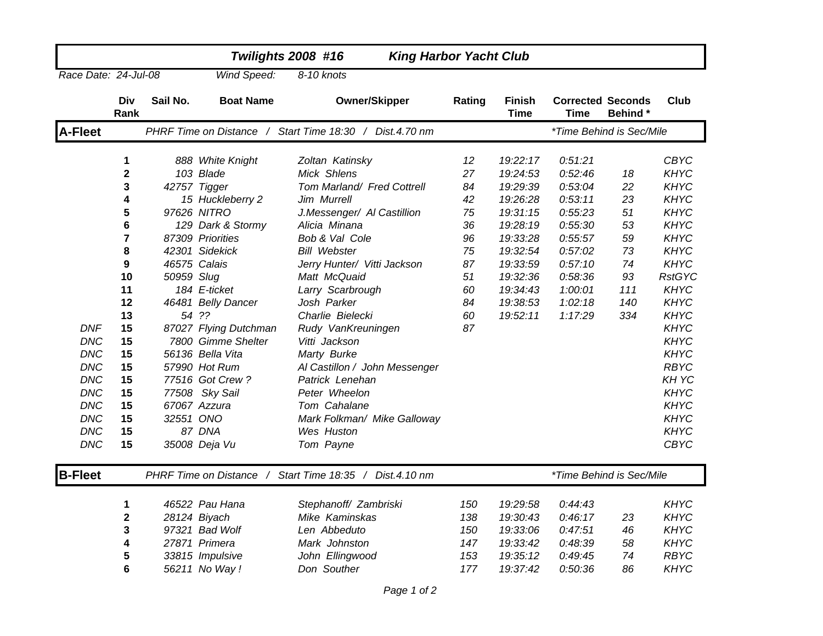|                      |                         |            | <b>Twilights 2008 #16</b> |                                                         |        | <b>King Harbor Yacht Club</b> |                                  |         |               |
|----------------------|-------------------------|------------|---------------------------|---------------------------------------------------------|--------|-------------------------------|----------------------------------|---------|---------------|
| Race Date: 24-Jul-08 |                         |            | Wind Speed:               | 8-10 knots                                              |        |                               |                                  |         |               |
|                      | <b>Div</b><br>Rank      | Sail No.   | <b>Boat Name</b>          | <b>Owner/Skipper</b>                                    | Rating | <b>Finish</b><br><b>Time</b>  | <b>Corrected Seconds</b><br>Time | Behind* | Club          |
| <b>A-Fleet</b>       |                         |            |                           | PHRF Time on Distance / Start Time 18:30 / Dist.4.70 nm |        |                               | *Time Behind is Sec/Mile         |         |               |
|                      | 1                       |            | 888 White Knight          | Zoltan Katinsky                                         | 12     | 19:22:17                      | 0:51:21                          |         | <b>CBYC</b>   |
|                      | $\overline{\mathbf{2}}$ |            | 103 Blade                 | Mick Shlens                                             | 27     | 19:24:53                      | 0:52:46                          | 18      | <b>KHYC</b>   |
|                      | 3                       |            | 42757 Tigger              | Tom Marland/ Fred Cottrell                              | 84     | 19:29:39                      | 0:53:04                          | 22      | <b>KHYC</b>   |
|                      | 4                       |            | 15 Huckleberry 2          | Jim Murrell                                             | 42     | 19:26:28                      | 0:53:11                          | 23      | <b>KHYC</b>   |
|                      | 5                       |            | 97626 NITRO               | J.Messenger/ Al Castillion                              | 75     | 19:31:15                      | 0:55:23                          | 51      | <b>KHYC</b>   |
|                      | 6                       |            | 129 Dark & Stormy         | Alicia Minana                                           | 36     | 19:28:19                      | 0:55:30                          | 53      | <b>KHYC</b>   |
|                      | 7                       |            | 87309 Priorities          | Bob & Val Cole                                          | 96     | 19:33:28                      | 0:55:57                          | 59      | <b>KHYC</b>   |
|                      | 8                       |            | 42301 Sidekick            | <b>Bill Webster</b>                                     | 75     | 19:32:54                      | 0:57:02                          | 73      | <b>KHYC</b>   |
|                      | 9                       |            | 46575 Calais              | Jerry Hunter/ Vitti Jackson                             | 87     | 19:33:59                      | 0:57:10                          | 74      | <b>KHYC</b>   |
|                      | 10                      | 50959 Slug |                           | Matt McQuaid                                            | 51     | 19:32:36                      | 0:58:36                          | 93      | <b>RstGYC</b> |
|                      | 11                      |            | 184 E-ticket              | Larry Scarbrough                                        | 60     | 19:34:43                      | 1:00:01                          | 111     | <b>KHYC</b>   |
|                      | 12                      |            | 46481 Belly Dancer        | Josh Parker                                             | 84     | 19:38:53                      | 1:02:18                          | 140     | <b>KHYC</b>   |
|                      | 13                      |            | 54 ??                     | Charlie Bielecki                                        | 60     | 19:52:11                      | 1:17:29                          | 334     | <b>KHYC</b>   |
| <b>DNF</b>           | 15                      |            | 87027 Flying Dutchman     | Rudy VanKreuningen                                      | 87     |                               |                                  |         | <b>KHYC</b>   |
| <b>DNC</b>           | 15                      |            | 7800 Gimme Shelter        | Vitti Jackson                                           |        |                               |                                  |         | KHYC          |
| DNC                  | 15                      |            | 56136 Bella Vita          | Marty Burke                                             |        |                               |                                  |         | KHYC          |
| <b>DNC</b>           | 15                      |            | 57990 Hot Rum             | Al Castillon / John Messenger                           |        |                               |                                  |         | <b>RBYC</b>   |
| <b>DNC</b>           | 15                      |            | 77516 Got Crew?           | Patrick Lenehan                                         |        |                               |                                  |         | KH YC         |
| <b>DNC</b>           | 15                      |            | 77508 Sky Sail            | Peter Wheelon                                           |        |                               |                                  |         | KHYC          |
| <b>DNC</b>           | 15                      |            | 67067 Azzura              | Tom Cahalane                                            |        |                               |                                  |         | KHYC          |
| DNC                  | 15                      | 32551 ONO  |                           | Mark Folkman/ Mike Galloway                             |        |                               |                                  |         | KHYC          |
| DNC                  | 15                      |            | 87 DNA                    | Wes Huston                                              |        |                               |                                  |         | KHYC          |
| <b>DNC</b>           | 15                      |            | 35008 Deja Vu             | Tom Payne                                               |        |                               |                                  |         | <b>CBYC</b>   |
| <b>B-Fleet</b>       |                         |            | PHRF Time on Distance /   | Start Time 18:35 / Dist.4.10 nm                         |        |                               | *Time Behind is Sec/Mile         |         |               |
|                      | 1                       |            | 46522 Pau Hana            | Stephanoff/ Zambriski                                   | 150    | 19:29:58                      | 0:44:43                          |         | <b>KHYC</b>   |
|                      | $\mathbf 2$             |            | 28124 Biyach              | Mike Kaminskas                                          | 138    | 19:30:43                      | 0:46:17                          | 23      | <b>KHYC</b>   |
|                      | 3                       |            | 97321 Bad Wolf            | Len Abbeduto                                            | 150    | 19:33:06                      | 0:47:51                          | 46      | <b>KHYC</b>   |
|                      | 4                       |            | 27871 Primera             | Mark Johnston                                           | 147    | 19:33:42                      | 0:48:39                          | 58      | <b>KHYC</b>   |
|                      | 5                       |            | 33815 Impulsive           | John Ellingwood                                         | 153    | 19:35:12                      | 0:49:45                          | 74      | <b>RBYC</b>   |
|                      | 6                       |            | 56211 No Way !            | Don Souther                                             | 177    | 19:37:42                      | 0:50:36                          | 86      | KHYC          |
|                      |                         |            |                           |                                                         |        |                               |                                  |         |               |